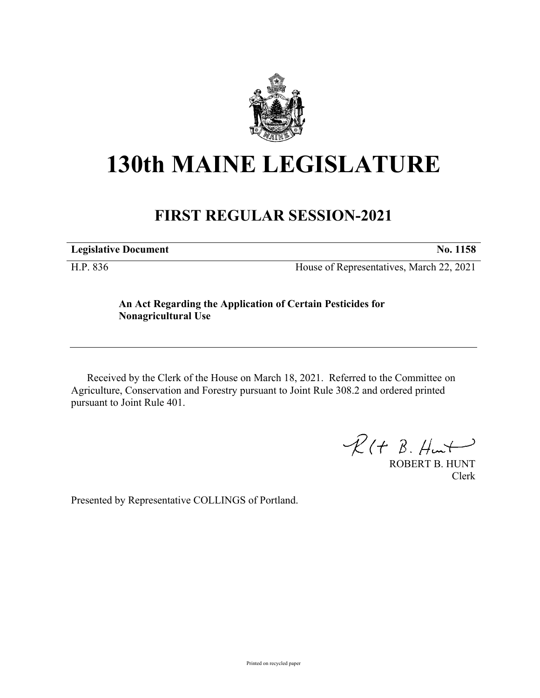

# **130th MAINE LEGISLATURE**

# **FIRST REGULAR SESSION-2021**

**Legislative Document No. 1158**

H.P. 836 House of Representatives, March 22, 2021

## **An Act Regarding the Application of Certain Pesticides for Nonagricultural Use**

Received by the Clerk of the House on March 18, 2021. Referred to the Committee on Agriculture, Conservation and Forestry pursuant to Joint Rule 308.2 and ordered printed pursuant to Joint Rule 401.

 $R(H B. H<sub>un</sub>+)$ 

ROBERT B. HUNT Clerk

Presented by Representative COLLINGS of Portland.